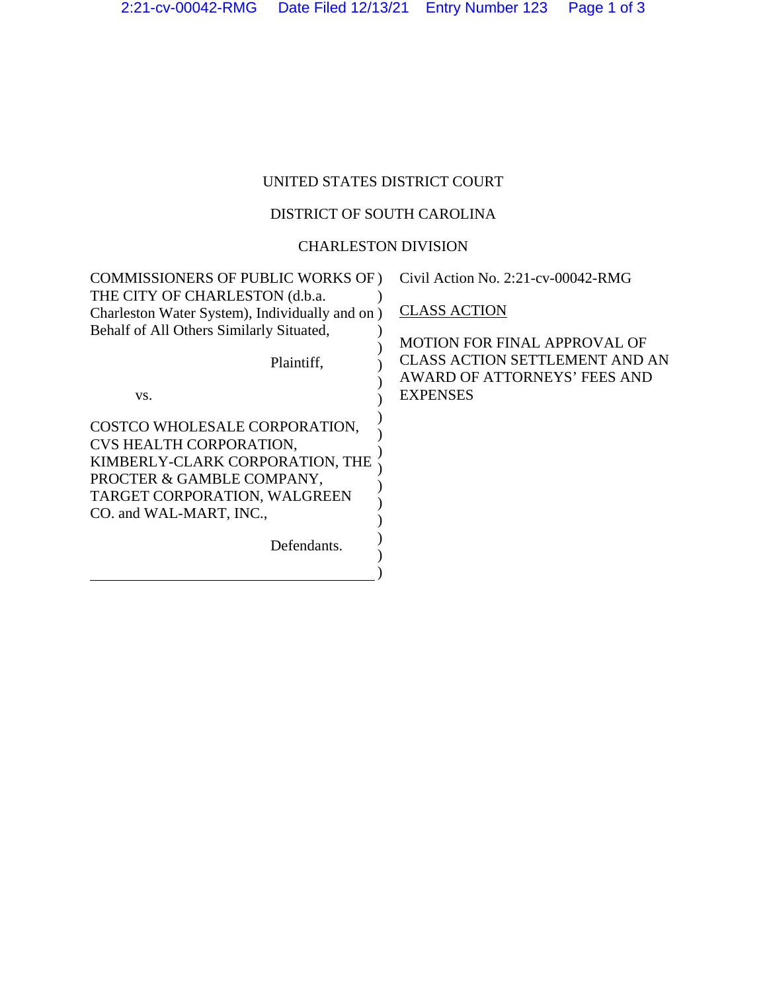## UNITED STATES DISTRICT COURT

## DISTRICT OF SOUTH CAROLINA

## CHARLESTON DIVISION

| COMMISSIONERS OF PUBLIC WORKS OF)              | Civil Action No. 2:21-cv-00042-RMG    |
|------------------------------------------------|---------------------------------------|
| THE CITY OF CHARLESTON (d.b.a.                 |                                       |
| Charleston Water System), Individually and on) | <b>CLASS ACTION</b>                   |
| Behalf of All Others Similarly Situated,       |                                       |
|                                                | MOTION FOR FINAL APPROVAL OF          |
| Plaintiff,                                     | <b>CLASS ACTION SETTLEMENT AND AN</b> |
|                                                | AWARD OF ATTORNEYS' FEES AND          |
| VS.                                            | <b>EXPENSES</b>                       |
| COSTCO WHOLESALE CORPORATION,                  |                                       |
| CVS HEALTH CORPORATION,                        |                                       |
| KIMBERLY-CLARK CORPORATION, THE                |                                       |
| PROCTER & GAMBLE COMPANY,                      |                                       |
| TARGET CORPORATION, WALGREEN                   |                                       |
| CO. and WAL-MART, INC.,                        |                                       |
|                                                |                                       |
| Defendants.                                    |                                       |
|                                                |                                       |
|                                                |                                       |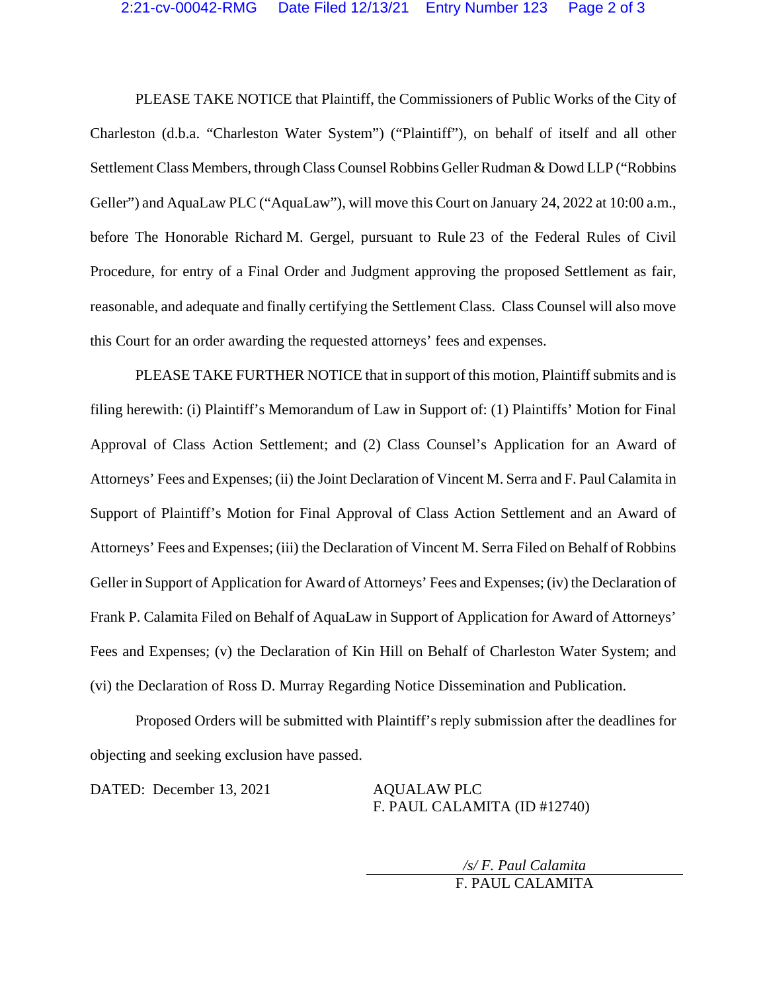PLEASE TAKE NOTICE that Plaintiff, the Commissioners of Public Works of the City of Charleston (d.b.a. "Charleston Water System") ("Plaintiff"), on behalf of itself and all other Settlement Class Members, through Class Counsel Robbins Geller Rudman & Dowd LLP ("Robbins Geller") and AquaLaw PLC ("AquaLaw"), will move this Court on January 24, 2022 at 10:00 a.m., before The Honorable Richard M. Gergel, pursuant to Rule 23 of the Federal Rules of Civil Procedure, for entry of a Final Order and Judgment approving the proposed Settlement as fair, reasonable, and adequate and finally certifying the Settlement Class. Class Counsel will also move this Court for an order awarding the requested attorneys' fees and expenses.

PLEASE TAKE FURTHER NOTICE that in support of this motion, Plaintiff submits and is filing herewith: (i) Plaintiff's Memorandum of Law in Support of: (1) Plaintiffs' Motion for Final Approval of Class Action Settlement; and (2) Class Counsel's Application for an Award of Attorneys' Fees and Expenses; (ii) the Joint Declaration of Vincent M. Serra and F. Paul Calamita in Support of Plaintiff's Motion for Final Approval of Class Action Settlement and an Award of Attorneys' Fees and Expenses; (iii) the Declaration of Vincent M. Serra Filed on Behalf of Robbins Geller in Support of Application for Award of Attorneys' Fees and Expenses; (iv) the Declaration of Frank P. Calamita Filed on Behalf of AquaLaw in Support of Application for Award of Attorneys' Fees and Expenses; (v) the Declaration of Kin Hill on Behalf of Charleston Water System; and (vi) the Declaration of Ross D. Murray Regarding Notice Dissemination and Publication.

Proposed Orders will be submitted with Plaintiff's reply submission after the deadlines for objecting and seeking exclusion have passed.

DATED: December 13, 2021 AQUALAW PLC

F. PAUL CALAMITA (ID #12740)

*/s/ F. Paul Calamita*  F. PAUL CALAMITA